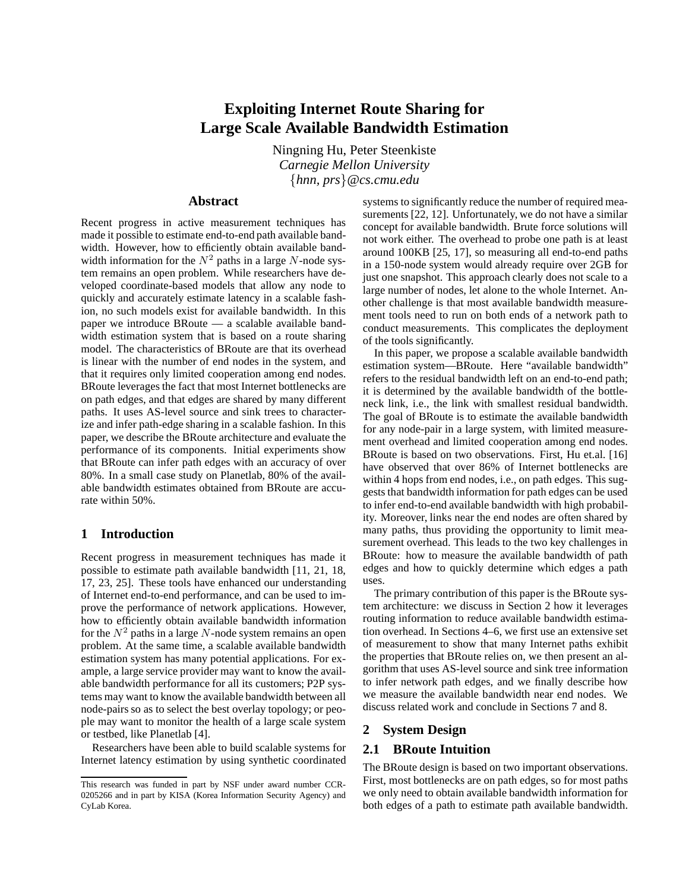# **Exploiting Internet Route Sharing for Large Scale Available Bandwidth Estimation**

Ningning Hu, Peter Steenkiste *Carnegie Mellon University* {*hnn, prs*}*@cs.cmu.edu*

## **Abstract**

Recent progress in active measurement techniques has made it possible to estimate end-to-end path available bandwidth. However, how to efficiently obtain available bandwidth information for the  $N^2$  paths in a large N-node system remains an open problem. While researchers have developed coordinate-based models that allow any node to quickly and accurately estimate latency in a scalable fashion, no such models exist for available bandwidth. In this paper we introduce BRoute — a scalable available bandwidth estimation system that is based on a route sharing model. The characteristics of BRoute are that its overhead is linear with the number of end nodes in the system, and that it requires only limited cooperation among end nodes. BRoute leverages the fact that most Internet bottlenecks are on path edges, and that edges are shared by many different paths. It uses AS-level source and sink trees to characterize and infer path-edge sharing in a scalable fashion. In this paper, we describe the BRoute architecture and evaluate the performance of its components. Initial experiments show that BRoute can infer path edges with an accuracy of over 80%. In a small case study on Planetlab, 80% of the available bandwidth estimates obtained from BRoute are accurate within 50%.

#### **1 Introduction**

Recent progress in measurement techniques has made it possible to estimate path available bandwidth [11, 21, 18, 17, 23, 25]. These tools have enhanced our understanding of Internet end-to-end performance, and can be used to improve the performance of network applications. However, how to efficiently obtain available bandwidth information for the  $N^2$  paths in a large N-node system remains an open problem. At the same time, a scalable available bandwidth estimation system has many potential applications. For example, a large service provider may want to know the available bandwidth performance for all its customers; P2P systems may want to know the available bandwidth between all node-pairs so as to select the best overlay topology; or people may want to monitor the health of a large scale system or testbed, like Planetlab [4].

Researchers have been able to build scalable systems for Internet latency estimation by using synthetic coordinated systems to significantly reduce the number of required measurements [22, 12]. Unfortunately, we do not have a similar concept for available bandwidth. Brute force solutions will not work either. The overhead to probe one path is at least around 100KB [25, 17], so measuring all end-to-end paths in a 150-node system would already require over 2GB for just one snapshot. This approach clearly does not scale to a large number of nodes, let alone to the whole Internet. Another challenge is that most available bandwidth measurement tools need to run on both ends of a network path to conduct measurements. This complicates the deployment of the tools significantly.

In this paper, we propose a scalable available bandwidth estimation system—BRoute. Here "available bandwidth" refers to the residual bandwidth left on an end-to-end path; it is determined by the available bandwidth of the bottleneck link, i.e., the link with smallest residual bandwidth. The goal of BRoute is to estimate the available bandwidth for any node-pair in a large system, with limited measurement overhead and limited cooperation among end nodes. BRoute is based on two observations. First, Hu et.al. [16] have observed that over 86% of Internet bottlenecks are within 4 hops from end nodes, i.e., on path edges. This suggests that bandwidth information for path edges can be used to infer end-to-end available bandwidth with high probability. Moreover, links near the end nodes are often shared by many paths, thus providing the opportunity to limit measurement overhead. This leads to the two key challenges in BRoute: how to measure the available bandwidth of path edges and how to quickly determine which edges a path uses.

The primary contribution of this paper is the BRoute system architecture: we discuss in Section 2 how it leverages routing information to reduce available bandwidth estimation overhead. In Sections 4–6, we first use an extensive set of measurement to show that many Internet paths exhibit the properties that BRoute relies on, we then present an algorithm that uses AS-level source and sink tree information to infer network path edges, and we finally describe how we measure the available bandwidth near end nodes. We discuss related work and conclude in Sections 7 and 8.

### **2 System Design**

#### **2.1 BRoute Intuition**

The BRoute design is based on two important observations. First, most bottlenecks are on path edges, so for most paths we only need to obtain available bandwidth information for both edges of a path to estimate path available bandwidth.

This research was funded in part by NSF under award number CCR-0205266 and in part by KISA (Korea Information Security Agency) and CyLab Korea.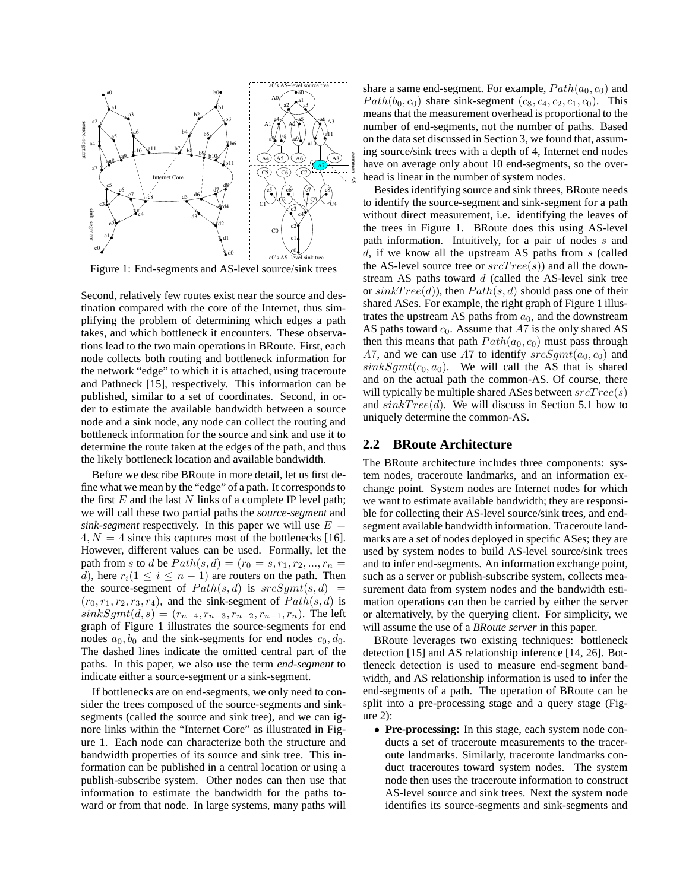

Figure 1: End-segments and AS-level source/sink trees

Second, relatively few routes exist near the source and destination compared with the core of the Internet, thus simplifying the problem of determining which edges a path takes, and which bottleneck it encounters. These observations lead to the two main operations in BRoute. First, each node collects both routing and bottleneck information for the network "edge" to which it is attached, using traceroute and Pathneck [15], respectively. This information can be published, similar to a set of coordinates. Second, in order to estimate the available bandwidth between a source node and a sink node, any node can collect the routing and bottleneck information for the source and sink and use it to determine the route taken at the edges of the path, and thus the likely bottleneck location and available bandwidth.

Before we describe BRoute in more detail, let us first define what we mean by the "edge" of a path. It corresponds to the first  $E$  and the last  $N$  links of a complete IP level path; we will call these two partial paths the *source-segment* and *sink-segment* respectively. In this paper we will use  $E =$  $4, N = 4$  since this captures most of the bottlenecks [16]. However, different values can be used. Formally, let the path from s to d be  $Path(s, d) = (r_0 = s, r_1, r_2, ..., r_n =$ d), here  $r_i(1 \leq i \leq n-1)$  are routers on the path. Then the source-segment of  $Path(s, d)$  is  $srcSgmt(s, d)$  =  $(r_0, r_1, r_2, r_3, r_4)$ , and the sink-segment of  $Path(s, d)$  is  $sinkSgmt(d, s) = (r_{n-4}, r_{n-3}, r_{n-2}, r_{n-1}, r_n)$ . The left graph of Figure 1 illustrates the source-segments for end nodes  $a_0, b_0$  and the sink-segments for end nodes  $c_0, d_0$ . The dashed lines indicate the omitted central part of the paths. In this paper, we also use the term *end-segment* to indicate either a source-segment or a sink-segment.

If bottlenecks are on end-segments, we only need to consider the trees composed of the source-segments and sinksegments (called the source and sink tree), and we can ignore links within the "Internet Core" as illustrated in Figure 1. Each node can characterize both the structure and bandwidth properties of its source and sink tree. This information can be published in a central location or using a publish-subscribe system. Other nodes can then use that information to estimate the bandwidth for the paths toward or from that node. In large systems, many paths will share a same end-segment. For example,  $Path(a_0, c_0)$  and  $Path(b_0, c_0)$  share sink-segment  $(c_8, c_4, c_2, c_1, c_0)$ . This means that the measurement overhead is proportional to the number of end-segments, not the number of paths. Based on the data set discussed in Section 3, we found that, assuming source/sink trees with a depth of 4, Internet end nodes have on average only about 10 end-segments, so the overhead is linear in the number of system nodes.

Besides identifying source and sink threes, BRoute needs to identify the source-segment and sink-segment for a path without direct measurement, i.e. identifying the leaves of the trees in Figure 1. BRoute does this using AS-level path information. Intuitively, for a pair of nodes s and  $d$ , if we know all the upstream AS paths from  $s$  (called the AS-level source tree or  $srcTree(s)$  and all the downstream AS paths toward  $d$  (called the AS-level sink tree or  $sinkTree(d)$ , then  $Path(s, d)$  should pass one of their shared ASes. For example, the right graph of Figure 1 illustrates the upstream AS paths from  $a_0$ , and the downstream AS paths toward  $c_0$ . Assume that A7 is the only shared AS then this means that path  $Path(a_0, c_0)$  must pass through A7, and we can use A7 to identify  $srcSgmt(a_0, c_0)$  and  $sinkSgmt(c_0, a_0)$ . We will call the AS that is shared and on the actual path the common-AS. Of course, there will typically be multiple shared ASes between  $srcTree(s)$ and  $sinkTree(d)$ . We will discuss in Section 5.1 how to uniquely determine the common-AS.

#### **2.2 BRoute Architecture**

The BRoute architecture includes three components: system nodes, traceroute landmarks, and an information exchange point. System nodes are Internet nodes for which we want to estimate available bandwidth; they are responsible for collecting their AS-level source/sink trees, and endsegment available bandwidth information. Traceroute landmarks are a set of nodes deployed in specific ASes; they are used by system nodes to build AS-level source/sink trees and to infer end-segments. An information exchange point, such as a server or publish-subscribe system, collects measurement data from system nodes and the bandwidth estimation operations can then be carried by either the server or alternatively, by the querying client. For simplicity, we will assume the use of a *BRoute server* in this paper.

BRoute leverages two existing techniques: bottleneck detection [15] and AS relationship inference [14, 26]. Bottleneck detection is used to measure end-segment bandwidth, and AS relationship information is used to infer the end-segments of a path. The operation of BRoute can be split into a pre-processing stage and a query stage (Figure 2):

• **Pre-processing:** In this stage, each system node conducts a set of traceroute measurements to the traceroute landmarks. Similarly, traceroute landmarks conduct traceroutes toward system nodes. The system node then uses the traceroute information to construct AS-level source and sink trees. Next the system node identifies its source-segments and sink-segments and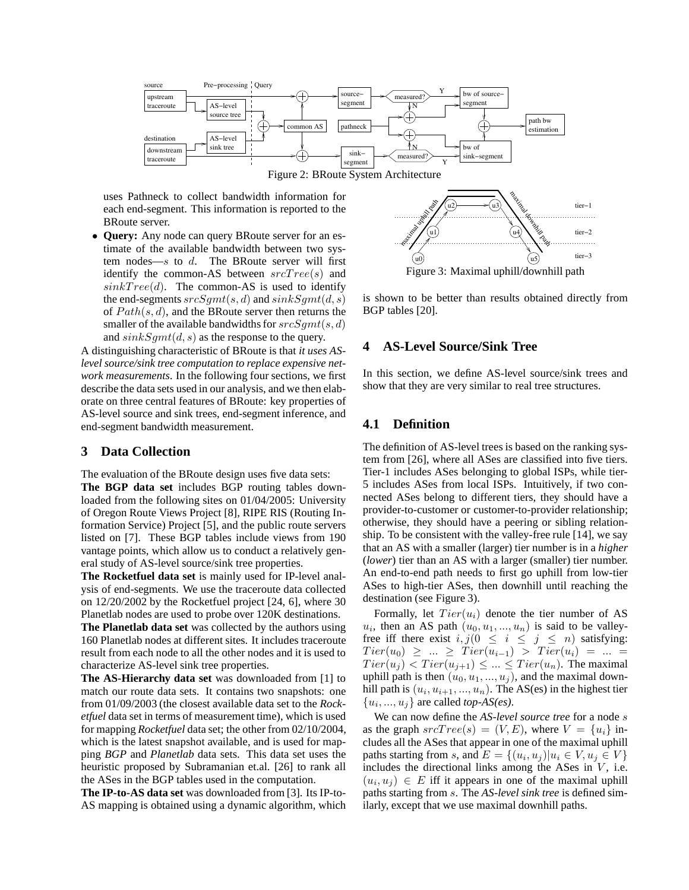



uses Pathneck to collect bandwidth information for each end-segment. This information is reported to the BRoute server.

• **Query:** Any node can query BRoute server for an estimate of the available bandwidth between two system nodes— $s$  to  $d$ . The BRoute server will first identify the common-AS between  $srcTree(s)$  and  $sinkTree(d)$ . The common-AS is used to identify the end-segments  $srcSamt(s, d)$  and  $sinkSamt(d, s)$ of  $Path(s, d)$ , and the BRoute server then returns the smaller of the available bandwidths for  $srcSgmt(s, d)$ and  $sinkSgmt(d, s)$  as the response to the query.

A distinguishing characteristic of BRoute is that *it uses ASlevel source/sink tree computation to replace expensive network measurements*. In the following four sections, we first describe the data sets used in our analysis, and we then elaborate on three central features of BRoute: key properties of AS-level source and sink trees, end-segment inference, and end-segment bandwidth measurement.

## **3 Data Collection**

The evaluation of the BRoute design uses five data sets:

**The BGP data set** includes BGP routing tables downloaded from the following sites on 01/04/2005: University of Oregon Route Views Project [8], RIPE RIS (Routing Information Service) Project [5], and the public route servers listed on [7]. These BGP tables include views from 190 vantage points, which allow us to conduct a relatively general study of AS-level source/sink tree properties.

**The Rocketfuel data set** is mainly used for IP-level analysis of end-segments. We use the traceroute data collected on 12/20/2002 by the Rocketfuel project [24, 6], where 30 Planetlab nodes are used to probe over 120K destinations.

**The Planetlab data set** was collected by the authors using 160 Planetlab nodes at different sites. It includes traceroute result from each node to all the other nodes and it is used to characterize AS-level sink tree properties.

**The AS-Hierarchy data set** was downloaded from [1] to match our route data sets. It contains two snapshots: one from 01/09/2003 (the closest available data set to the *Rocketfuel* data set in terms of measurement time), which is used for mapping *Rocketfuel* data set; the other from 02/10/2004, which is the latest snapshot available, and is used for mapping *BGP* and *Planetlab* data sets. This data set uses the heuristic proposed by Subramanian et.al. [26] to rank all the ASes in the BGP tables used in the computation.

**The IP-to-AS data set** was downloaded from [3]. Its IP-to-AS mapping is obtained using a dynamic algorithm, which



Figure 3: Maximal uphill/downhill path

is shown to be better than results obtained directly from BGP tables [20].

## **4 AS-Level Source/Sink Tree**

In this section, we define AS-level source/sink trees and show that they are very similar to real tree structures.

## **4.1 Definition**

The definition of AS-level trees is based on the ranking system from [26], where all ASes are classified into five tiers. Tier-1 includes ASes belonging to global ISPs, while tier-5 includes ASes from local ISPs. Intuitively, if two connected ASes belong to different tiers, they should have a provider-to-customer or customer-to-provider relationship; otherwise, they should have a peering or sibling relationship. To be consistent with the valley-free rule [14], we say that an AS with a smaller (larger) tier number is in a *higher* (*lower*) tier than an AS with a larger (smaller) tier number. An end-to-end path needs to first go uphill from low-tier ASes to high-tier ASes, then downhill until reaching the destination (see Figure 3).

Formally, let  $Tier(u_i)$  denote the tier number of AS  $u_i$ , then an AS path  $(u_0, u_1, ..., u_n)$  is said to be valleyfree iff there exist  $i, j(0 \le i \le j \le n)$  satisfying:  $Tier(u_0) \geq ... \geq \widetilde{T}ier(\overline{u}_{i-1}) > \widetilde{Tier}(u_i) = ... =$  $Tier(u_j) < Tier(u_{j+1}) \leq ... \leq Tier(u_n)$ . The maximal uphill path is then  $(u_0, u_1, ..., u_j)$ , and the maximal downhill path is  $(u_i, u_{i+1}, ..., u_n)$ . The AS(es) in the highest tier  $\{u_i, ..., u_j\}$  are called *top-AS(es)*.

We can now define the *AS-level source tree* for a node s as the graph  $srcTree(s) = (V, E)$ , where  $V = \{u_i\}$  includes all the ASes that appear in one of the maximal uphill paths starting from s, and  $E = \{(u_i, u_j) | u_i \in V, u_j \in V\}$ includes the directional links among the ASes in  $V$ , i.e.  $(u_i, u_j) \in E$  iff it appears in one of the maximal uphill paths starting from s. The *AS-level sink tree* is defined similarly, except that we use maximal downhill paths.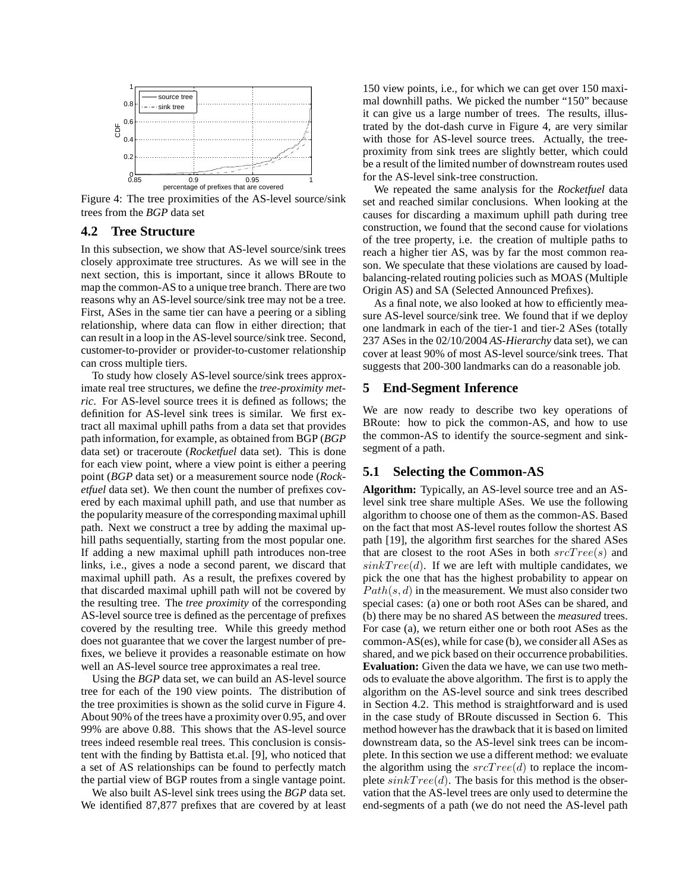

Figure 4: The tree proximities of the AS-level source/sink trees from the *BGP* data set

#### **4.2 Tree Structure**

In this subsection, we show that AS-level source/sink trees closely approximate tree structures. As we will see in the next section, this is important, since it allows BRoute to map the common-AS to a unique tree branch. There are two reasons why an AS-level source/sink tree may not be a tree. First, ASes in the same tier can have a peering or a sibling relationship, where data can flow in either direction; that can result in a loop in the AS-level source/sink tree. Second, customer-to-provider or provider-to-customer relationship can cross multiple tiers.

To study how closely AS-level source/sink trees approximate real tree structures, we define the *tree-proximity metric*. For AS-level source trees it is defined as follows; the definition for AS-level sink trees is similar. We first extract all maximal uphill paths from a data set that provides path information, for example, as obtained from BGP (*BGP* data set) or traceroute (*Rocketfuel* data set). This is done for each view point, where a view point is either a peering point (*BGP* data set) or a measurement source node (*Rocketfuel* data set). We then count the number of prefixes covered by each maximal uphill path, and use that number as the popularity measure of the corresponding maximal uphill path. Next we construct a tree by adding the maximal uphill paths sequentially, starting from the most popular one. If adding a new maximal uphill path introduces non-tree links, i.e., gives a node a second parent, we discard that maximal uphill path. As a result, the prefixes covered by that discarded maximal uphill path will not be covered by the resulting tree. The *tree proximity* of the corresponding AS-level source tree is defined as the percentage of prefixes covered by the resulting tree. While this greedy method does not guarantee that we cover the largest number of prefixes, we believe it provides a reasonable estimate on how well an AS-level source tree approximates a real tree.

Using the *BGP* data set, we can build an AS-level source tree for each of the 190 view points. The distribution of the tree proximities is shown as the solid curve in Figure 4. About 90% of the trees have a proximity over 0.95, and over 99% are above 0.88. This shows that the AS-level source trees indeed resemble real trees. This conclusion is consistent with the finding by Battista et.al. [9], who noticed that a set of AS relationships can be found to perfectly match the partial view of BGP routes from a single vantage point.

We also built AS-level sink trees using the *BGP* data set. We identified 87,877 prefixes that are covered by at least 150 view points, i.e., for which we can get over 150 maximal downhill paths. We picked the number "150" because it can give us a large number of trees. The results, illustrated by the dot-dash curve in Figure 4, are very similar with those for AS-level source trees. Actually, the treeproximity from sink trees are slightly better, which could be a result of the limited number of downstream routes used for the AS-level sink-tree construction.

We repeated the same analysis for the *Rocketfuel* data set and reached similar conclusions. When looking at the causes for discarding a maximum uphill path during tree construction, we found that the second cause for violations of the tree property, i.e. the creation of multiple paths to reach a higher tier AS, was by far the most common reason. We speculate that these violations are caused by loadbalancing-related routing policies such as MOAS (Multiple Origin AS) and SA (Selected Announced Prefixes).

As a final note, we also looked at how to efficiently measure AS-level source/sink tree. We found that if we deploy one landmark in each of the tier-1 and tier-2 ASes (totally 237 ASes in the 02/10/2004 *AS-Hierarchy* data set), we can cover at least 90% of most AS-level source/sink trees. That suggests that 200-300 landmarks can do a reasonable job.

### **5 End-Segment Inference**

We are now ready to describe two key operations of BRoute: how to pick the common-AS, and how to use the common-AS to identify the source-segment and sinksegment of a path.

#### **5.1 Selecting the Common-AS**

**Algorithm:** Typically, an AS-level source tree and an ASlevel sink tree share multiple ASes. We use the following algorithm to choose one of them as the common-AS. Based on the fact that most AS-level routes follow the shortest AS path [19], the algorithm first searches for the shared ASes that are closest to the root ASes in both  $srcTree(s)$  and  $sinkTree(d)$ . If we are left with multiple candidates, we pick the one that has the highest probability to appear on  $Path(s, d)$  in the measurement. We must also consider two special cases: (a) one or both root ASes can be shared, and (b) there may be no shared AS between the *measured* trees. For case (a), we return either one or both root ASes as the common-AS(es), while for case (b), we consider all ASes as shared, and we pick based on their occurrence probabilities. **Evaluation:** Given the data we have, we can use two methods to evaluate the above algorithm. The first is to apply the algorithm on the AS-level source and sink trees described in Section 4.2. This method is straightforward and is used in the case study of BRoute discussed in Section 6. This method however has the drawback that it is based on limited downstream data, so the AS-level sink trees can be incomplete. In this section we use a different method: we evaluate the algorithm using the  $srcTree(d)$  to replace the incomplete  $sinkTree(d)$ . The basis for this method is the observation that the AS-level trees are only used to determine the end-segments of a path (we do not need the AS-level path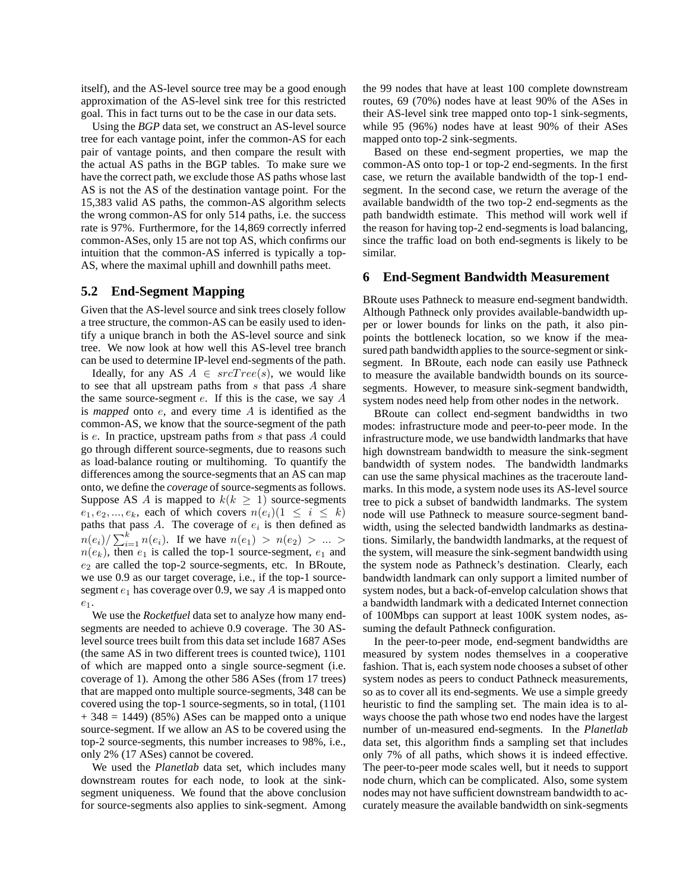itself), and the AS-level source tree may be a good enough approximation of the AS-level sink tree for this restricted goal. This in fact turns out to be the case in our data sets.

Using the *BGP* data set, we construct an AS-level source tree for each vantage point, infer the common-AS for each pair of vantage points, and then compare the result with the actual AS paths in the BGP tables. To make sure we have the correct path, we exclude those AS paths whose last AS is not the AS of the destination vantage point. For the 15,383 valid AS paths, the common-AS algorithm selects the wrong common-AS for only 514 paths, i.e. the success rate is 97%. Furthermore, for the 14,869 correctly inferred common-ASes, only 15 are not top AS, which confirms our intuition that the common-AS inferred is typically a top-AS, where the maximal uphill and downhill paths meet.

#### **5.2 End-Segment Mapping**

Given that the AS-level source and sink trees closely follow a tree structure, the common-AS can be easily used to identify a unique branch in both the AS-level source and sink tree. We now look at how well this AS-level tree branch can be used to determine IP-level end-segments of the path.

Ideally, for any AS  $A \in \mathit{srcTree}(s)$ , we would like to see that all upstream paths from s that pass A share the same source-segment  $e$ . If this is the case, we say  $A$ is *mapped* onto e, and every time A is identified as the common-AS, we know that the source-segment of the path is e. In practice, upstream paths from s that pass A could go through different source-segments, due to reasons such as load-balance routing or multihoming. To quantify the differences among the source-segments that an AS can map onto, we define the *coverage* of source-segments as follows. Suppose AS A is mapped to  $k(k \geq 1)$  source-segments  $e_1, e_2, \ldots, e_k$ , each of which covers  $n(e_i)(1 \leq i \leq k)$ paths that pass A. The coverage of  $e_i$  is then defined as  $n(e_i)/\sum_{i=1}^k n(e_i)$ . If we have  $n(e_1) > n(e_2) > ... >$  $n(e_k)$ , then  $e_1$  is called the top-1 source-segment,  $e_1$  and  $e_2$  are called the top-2 source-segments, etc. In BRoute, we use 0.9 as our target coverage, i.e., if the top-1 sourcesegment  $e_1$  has coverage over 0.9, we say A is mapped onto  $e_1$ .

We use the *Rocketfuel* data set to analyze how many endsegments are needed to achieve 0.9 coverage. The 30 ASlevel source trees built from this data set include 1687 ASes (the same AS in two different trees is counted twice), 1101 of which are mapped onto a single source-segment (i.e. coverage of 1). Among the other 586 ASes (from 17 trees) that are mapped onto multiple source-segments, 348 can be covered using the top-1 source-segments, so in total, (1101  $+ 348 = 1449$  (85%) ASes can be mapped onto a unique source-segment. If we allow an AS to be covered using the top-2 source-segments, this number increases to 98%, i.e., only 2% (17 ASes) cannot be covered.

We used the *Planetlab* data set, which includes many downstream routes for each node, to look at the sinksegment uniqueness. We found that the above conclusion for source-segments also applies to sink-segment. Among the 99 nodes that have at least 100 complete downstream routes, 69 (70%) nodes have at least 90% of the ASes in their AS-level sink tree mapped onto top-1 sink-segments, while 95 (96%) nodes have at least 90% of their ASes mapped onto top-2 sink-segments.

Based on these end-segment properties, we map the common-AS onto top-1 or top-2 end-segments. In the first case, we return the available bandwidth of the top-1 endsegment. In the second case, we return the average of the available bandwidth of the two top-2 end-segments as the path bandwidth estimate. This method will work well if the reason for having top-2 end-segments is load balancing, since the traffic load on both end-segments is likely to be similar.

#### **6 End-Segment Bandwidth Measurement**

BRoute uses Pathneck to measure end-segment bandwidth. Although Pathneck only provides available-bandwidth upper or lower bounds for links on the path, it also pinpoints the bottleneck location, so we know if the measured path bandwidth applies to the source-segment or sinksegment. In BRoute, each node can easily use Pathneck to measure the available bandwidth bounds on its sourcesegments. However, to measure sink-segment bandwidth, system nodes need help from other nodes in the network.

BRoute can collect end-segment bandwidths in two modes: infrastructure mode and peer-to-peer mode. In the infrastructure mode, we use bandwidth landmarks that have high downstream bandwidth to measure the sink-segment bandwidth of system nodes. The bandwidth landmarks can use the same physical machines as the traceroute landmarks. In this mode, a system node uses its AS-level source tree to pick a subset of bandwidth landmarks. The system node will use Pathneck to measure source-segment bandwidth, using the selected bandwidth landmarks as destinations. Similarly, the bandwidth landmarks, at the request of the system, will measure the sink-segment bandwidth using the system node as Pathneck's destination. Clearly, each bandwidth landmark can only support a limited number of system nodes, but a back-of-envelop calculation shows that a bandwidth landmark with a dedicated Internet connection of 100Mbps can support at least 100K system nodes, assuming the default Pathneck configuration.

In the peer-to-peer mode, end-segment bandwidths are measured by system nodes themselves in a cooperative fashion. That is, each system node chooses a subset of other system nodes as peers to conduct Pathneck measurements, so as to cover all its end-segments. We use a simple greedy heuristic to find the sampling set. The main idea is to always choose the path whose two end nodes have the largest number of un-measured end-segments. In the *Planetlab* data set, this algorithm finds a sampling set that includes only 7% of all paths, which shows it is indeed effective. The peer-to-peer mode scales well, but it needs to support node churn, which can be complicated. Also, some system nodes may not have sufficient downstream bandwidth to accurately measure the available bandwidth on sink-segments